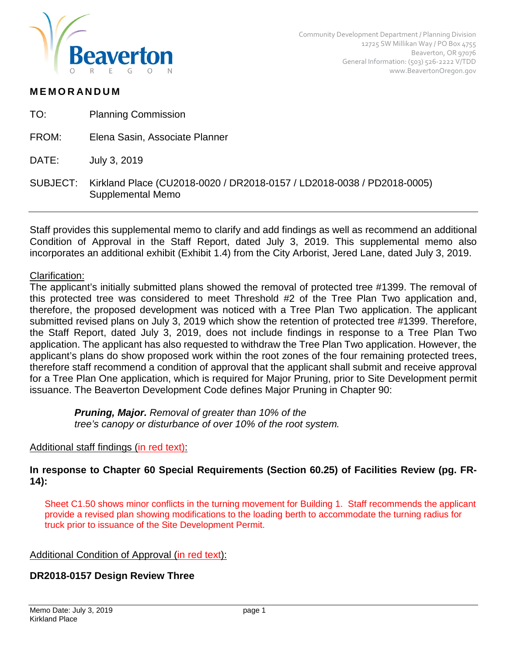

# **MEMORANDUM**

| TO: | <b>Planning Commission</b> |
|-----|----------------------------|
|-----|----------------------------|

FROM: Elena Sasin, Associate Planner

DATE: July 3, 2019

SUBJECT: Kirkland Place (CU2018-0020 / DR2018-0157 / LD2018-0038 / PD2018-0005) Supplemental Memo

Staff provides this supplemental memo to clarify and add findings as well as recommend an additional Condition of Approval in the Staff Report, dated July 3, 2019. This supplemental memo also incorporates an additional exhibit (Exhibit 1.4) from the City Arborist, Jered Lane, dated July 3, 2019.

#### Clarification:

The applicant's initially submitted plans showed the removal of protected tree #1399. The removal of this protected tree was considered to meet Threshold #2 of the Tree Plan Two application and, therefore, the proposed development was noticed with a Tree Plan Two application. The applicant submitted revised plans on July 3, 2019 which show the retention of protected tree #1399. Therefore, the Staff Report, dated July 3, 2019, does not include findings in response to a Tree Plan Two application. The applicant has also requested to withdraw the Tree Plan Two application. However, the applicant's plans do show proposed work within the root zones of the four remaining protected trees, therefore staff recommend a condition of approval that the applicant shall submit and receive approval for a Tree Plan One application, which is required for Major Pruning, prior to Site Development permit issuance. The Beaverton Development Code defines Major Pruning in Chapter 90:

> *Pruning, Major. Removal of greater than 10% of the tree's canopy or disturbance of over 10% of the root system.*

## Additional staff findings (in red text):

## **In response to Chapter 60 Special Requirements (Section 60.25) of Facilities Review (pg. FR-14):**

Sheet C1.50 shows minor conflicts in the turning movement for Building 1. Staff recommends the applicant provide a revised plan showing modifications to the loading berth to accommodate the turning radius for truck prior to issuance of the Site Development Permit.

#### Additional Condition of Approval (in red text):

## **DR2018-0157 Design Review Three**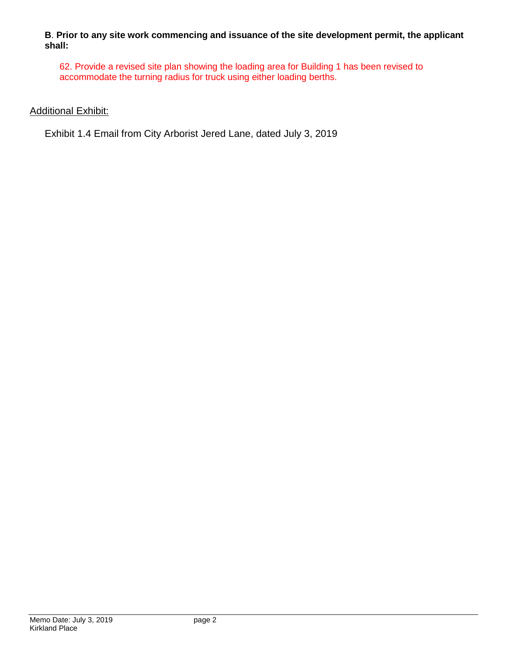**B**. **Prior to any site work commencing and issuance of the site development permit, the applicant shall:**

62. Provide a revised site plan showing the loading area for Building 1 has been revised to accommodate the turning radius for truck using either loading berths.

## **Additional Exhibit:**

Exhibit 1.4 Email from City Arborist Jered Lane, dated July 3, 2019